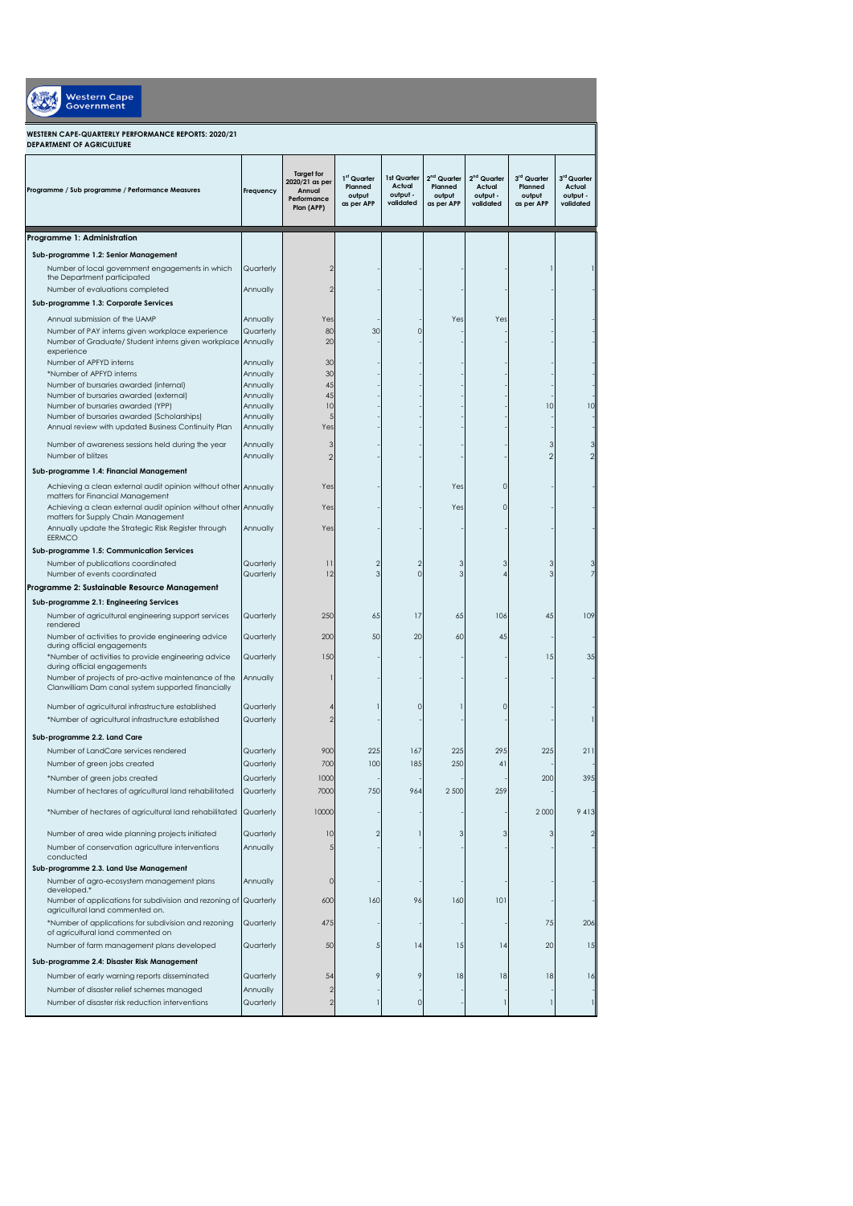| <b>Western Cape</b><br><b>Government</b>                                                                  |                        |                                                                            |                                                            |                                                |                                                            |                                                            |                                                            |                                                |
|-----------------------------------------------------------------------------------------------------------|------------------------|----------------------------------------------------------------------------|------------------------------------------------------------|------------------------------------------------|------------------------------------------------------------|------------------------------------------------------------|------------------------------------------------------------|------------------------------------------------|
| WESTERN CAPE-QUARTERLY PERFORMANCE REPORTS: 2020/21<br>DEPARTMENT OF AGRICULTURE                          |                        |                                                                            |                                                            |                                                |                                                            |                                                            |                                                            |                                                |
| Programme / Sub programme / Performance Measures                                                          | Frequency              | <b>Target for</b><br>2020/21 as per<br>Annual<br>Performance<br>Plan (APP) | 1 <sup>st</sup> Quarter<br>Planned<br>output<br>as per APP | 1st Quarter<br>Actual<br>output -<br>validated | 2 <sup>nd</sup> Quarter<br>Planned<br>output<br>as per APP | 2 <sup>nd</sup> Quarter<br>Actual<br>output -<br>validated | 3 <sup>rd</sup> Quarter<br>Planned<br>output<br>as per APP | 3rd Quarter<br>Actual<br>output -<br>validated |
| Programme 1: Administration                                                                               |                        |                                                                            |                                                            |                                                |                                                            |                                                            |                                                            |                                                |
| Sub-programme 1.2: Senior Management                                                                      |                        |                                                                            |                                                            |                                                |                                                            |                                                            |                                                            |                                                |
| Number of local government engagements in which<br>the Department participated                            | Quarterly              | $\overline{2}$                                                             |                                                            |                                                |                                                            |                                                            |                                                            |                                                |
| Number of evaluations completed                                                                           | Annually               | $\overline{2}$                                                             |                                                            |                                                |                                                            |                                                            |                                                            |                                                |
| Sub-programme 1.3: Corporate Services                                                                     |                        |                                                                            |                                                            |                                                |                                                            |                                                            |                                                            |                                                |
| Annual submission of the UAMP                                                                             | Annually               | Yes                                                                        |                                                            |                                                | Yes                                                        | Yes                                                        |                                                            |                                                |
| Number of PAY interns given workplace experience                                                          | Quarterly              | 80                                                                         | 30                                                         | O                                              |                                                            |                                                            |                                                            |                                                |
| Number of Graduate/ Student interns given workplace Annually<br>experience                                |                        | 20                                                                         |                                                            |                                                |                                                            |                                                            |                                                            |                                                |
| Number of APFYD interns                                                                                   | Annually               | 30                                                                         |                                                            |                                                |                                                            |                                                            |                                                            |                                                |
| *Number of APFYD interns<br>Number of bursaries awarded (internal)                                        | Annually<br>Annually   | 30<br>45                                                                   |                                                            |                                                |                                                            |                                                            |                                                            |                                                |
| Number of bursaries awarded (external)                                                                    | Annually               | 45                                                                         |                                                            |                                                |                                                            |                                                            |                                                            |                                                |
| Number of bursaries awarded (YPP)                                                                         | Annually               | 10                                                                         |                                                            |                                                |                                                            |                                                            | 10                                                         | 10                                             |
| Number of bursaries awarded (Scholarships)<br>Annual review with updated Business Continuity Plan         | Annually<br>Annually   | 5<br>Yes                                                                   |                                                            |                                                |                                                            |                                                            |                                                            |                                                |
| Number of awareness sessions held during the year                                                         |                        | 3                                                                          |                                                            |                                                |                                                            |                                                            |                                                            |                                                |
| Number of blitzes                                                                                         | Annually<br>Annually   | $\overline{2}$                                                             |                                                            |                                                |                                                            |                                                            |                                                            | $\overline{2}$                                 |
| Sub-programme 1.4: Financial Management                                                                   |                        |                                                                            |                                                            |                                                |                                                            |                                                            |                                                            |                                                |
| Achieving a clean external audit opinion without other Annually                                           |                        | Yes                                                                        |                                                            |                                                | Yes                                                        | n                                                          |                                                            |                                                |
| matters for Financial Management                                                                          |                        |                                                                            |                                                            |                                                |                                                            |                                                            |                                                            |                                                |
| Achieving a clean external audit opinion without other Annually<br>matters for Supply Chain Management    |                        | Yes                                                                        |                                                            |                                                | Yes                                                        | n                                                          |                                                            |                                                |
| Annually update the Strategic Risk Register through<br>EERMCO                                             | Annually               | Yes                                                                        |                                                            |                                                |                                                            |                                                            |                                                            |                                                |
| Sub-programme 1.5: Communication Services                                                                 |                        |                                                                            |                                                            |                                                |                                                            |                                                            |                                                            |                                                |
| Number of publications coordinated<br>Number of events coordinated                                        | Quarterly<br>Quarterly | $\overline{11}$<br>12                                                      | $\mathcal{P}$<br>3                                         | $\overline{2}$<br>$\mathbf 0$                  | 3<br>3                                                     | 3                                                          | 3                                                          | 3                                              |
| Programme 2: Sustainable Resource Management                                                              |                        |                                                                            |                                                            |                                                |                                                            |                                                            |                                                            |                                                |
| Sub-programme 2.1: Engineering Services                                                                   |                        |                                                                            |                                                            |                                                |                                                            |                                                            |                                                            |                                                |
| Number of agricultural engineering support services<br>rendered                                           | Quarterly              | 250                                                                        | 65                                                         | 17                                             | 65                                                         | 106                                                        | 45                                                         | 109                                            |
| Number of activities to provide engineering advice<br>during official engagements                         | Quarterly              | 200                                                                        | 50                                                         | 20                                             | 60                                                         | 45                                                         |                                                            |                                                |
| *Number of activities to provide engineering advice<br>during official engagements                        | Quarterly              | 150                                                                        |                                                            |                                                |                                                            |                                                            | 15                                                         | 35                                             |
| Number of projects of pro-active maintenance of the<br>Clanwilliam Dam canal system supported financially | Annually               |                                                                            |                                                            |                                                |                                                            |                                                            |                                                            |                                                |
| Number of agricultural infrastructure established                                                         | Quarterly              |                                                                            |                                                            | $\Omega$                                       |                                                            |                                                            |                                                            |                                                |
| *Number of agricultural infrastructure established                                                        | Quarterly              | $\overline{2}$                                                             |                                                            |                                                |                                                            |                                                            |                                                            |                                                |
| Sub-programme 2.2. Land Care                                                                              |                        |                                                                            |                                                            |                                                |                                                            |                                                            |                                                            |                                                |
| Number of LandCare services rendered                                                                      | Quarterly              | 900                                                                        | 225                                                        | 167                                            | 225                                                        | 295                                                        | 225                                                        | 211                                            |
| Number of green jobs created                                                                              | Quarterly              | 700                                                                        | 100                                                        | 185                                            | 250                                                        | 41                                                         |                                                            |                                                |
| *Number of green jobs created                                                                             | Quarterly              | 1000                                                                       |                                                            |                                                |                                                            |                                                            | 200                                                        | 395                                            |
| Number of hectares of agricultural land rehabilitated                                                     | Quarterly              | 7000                                                                       | 750                                                        | 964                                            | 2 500                                                      | 259                                                        |                                                            |                                                |
| *Number of hectares of agricultural land rehabilitated                                                    | Quarterly              | 10000                                                                      |                                                            |                                                |                                                            |                                                            | 2 0 0 0                                                    | 9 4 1 3                                        |
| Number of area wide planning projects initiated                                                           | Quarterly              | 10                                                                         | $\mathcal{P}$                                              |                                                | 3                                                          | э                                                          |                                                            | $\overline{2}$                                 |
| Number of conservation agriculture interventions<br>conducted                                             | Annually               | 5                                                                          |                                                            |                                                |                                                            |                                                            |                                                            |                                                |
| Sub-programme 2.3. Land Use Management                                                                    |                        |                                                                            |                                                            |                                                |                                                            |                                                            |                                                            |                                                |
| Number of agro-ecosystem management plans<br>developed.*                                                  | Annually               | 0                                                                          |                                                            |                                                |                                                            |                                                            |                                                            |                                                |
| Number of applications for subdivision and rezoning of Quarterly<br>agricultural land commented on.       |                        | 600                                                                        | 160                                                        | 96                                             | 160                                                        | 101                                                        |                                                            |                                                |
| *Number of applications for subdivision and rezoning<br>of agricultural land commented on                 | Quarterly              | 475                                                                        |                                                            |                                                |                                                            |                                                            | 75                                                         | 206                                            |
| Number of farm management plans developed                                                                 | Quarterly              | 50                                                                         | 5                                                          | 4                                              | 15                                                         | 4                                                          | 20                                                         | 15                                             |
| Sub-programme 2.4: Disaster Risk Management                                                               |                        |                                                                            |                                                            |                                                |                                                            |                                                            |                                                            |                                                |
| Number of early warning reports disseminated                                                              | Quarterly              | 54                                                                         | 9                                                          | 9                                              | 18                                                         | 18                                                         | 18                                                         | 16                                             |
| Number of disaster relief schemes managed<br>Number of disaster risk reduction interventions              | Annually<br>Quarterly  | $\overline{\mathbf{c}}$<br>$\overline{2}$                                  |                                                            | 0                                              |                                                            |                                                            |                                                            | $\mathbf{1}$                                   |
|                                                                                                           |                        |                                                                            |                                                            |                                                |                                                            |                                                            |                                                            |                                                |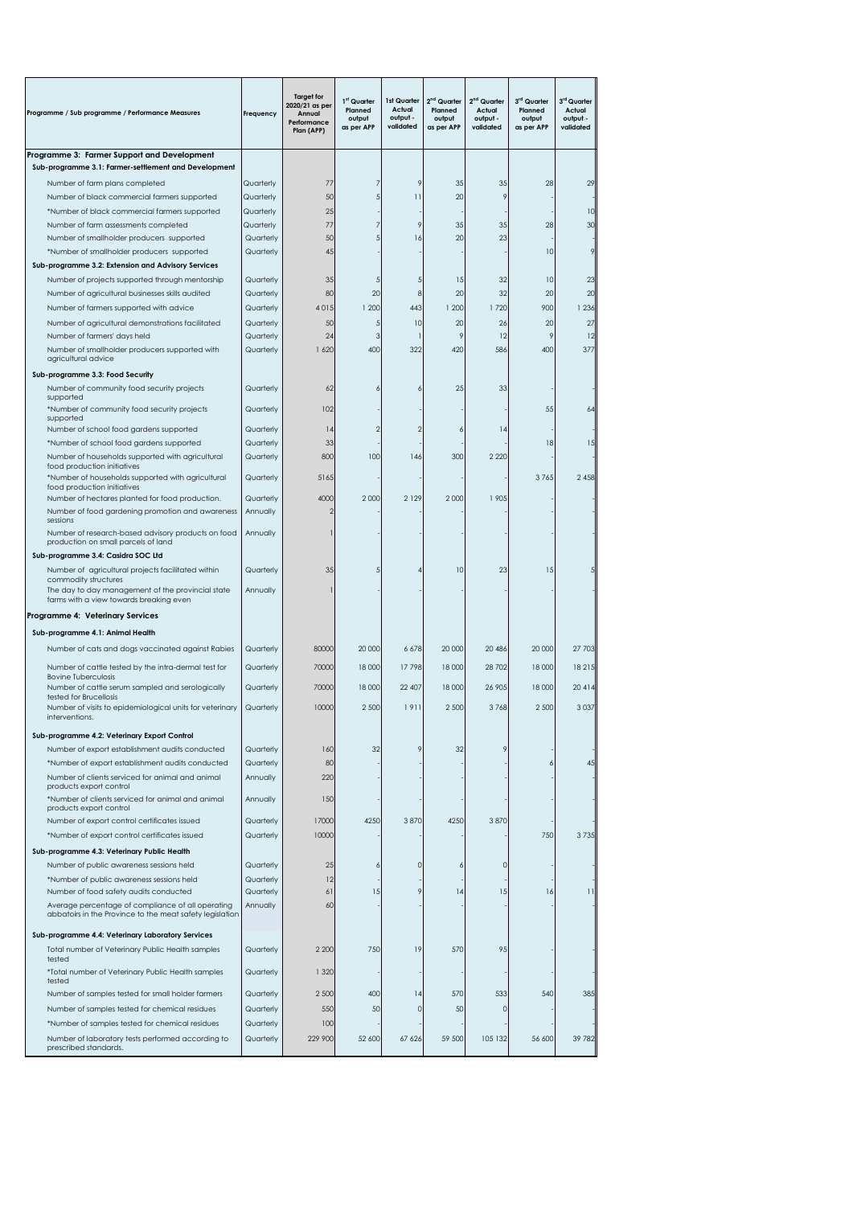| Programme / Sub programme / Performance Measures                                                              | Frequency              | <b>Target for</b><br>2020/21 as per<br>Annual<br>Performance<br>Plan (APP) | 1 <sup>st</sup> Quarter<br>Planned<br>output<br>as per APP | 1st Quarter<br>Actual<br>output -<br>validated | 2 <sup>nd</sup> Quarter<br>Planned<br>output<br>as per APP | 2 <sup>nd</sup> Quarter<br>Actual<br>output -<br>validated | 3rd Quarter<br>Planned<br>output<br>as per APP | 3rd Quarter<br>Actual<br>output -<br>validated |
|---------------------------------------------------------------------------------------------------------------|------------------------|----------------------------------------------------------------------------|------------------------------------------------------------|------------------------------------------------|------------------------------------------------------------|------------------------------------------------------------|------------------------------------------------|------------------------------------------------|
| Programme 3: Farmer Support and Development                                                                   |                        |                                                                            |                                                            |                                                |                                                            |                                                            |                                                |                                                |
| Sub-programme 3.1: Farmer-settlement and Development                                                          |                        |                                                                            |                                                            |                                                |                                                            |                                                            |                                                |                                                |
| Number of farm plans completed                                                                                | Quarterly              | 77                                                                         | 7                                                          | 9                                              | 35                                                         | 35                                                         | 28                                             | 29                                             |
| Number of black commercial farmers supported                                                                  | Quarterly              | 50                                                                         | 5                                                          | $\overline{11}$                                | 20                                                         | 9                                                          |                                                |                                                |
| *Number of black commercial farmers supported<br>Number of farm assessments completed                         | Quarterly<br>Quarterly | 25<br>77                                                                   | 7                                                          | 9                                              | 35                                                         | 35                                                         | 28                                             | 10<br>30                                       |
| Number of smallholder producers supported                                                                     | Quarterly              | 50                                                                         | 5                                                          | 16                                             | 20                                                         | 23                                                         |                                                |                                                |
| *Number of smallholder producers supported                                                                    | Quarterly              | 45                                                                         |                                                            |                                                |                                                            |                                                            | 10                                             | 9                                              |
| Sub-programme 3.2: Extension and Advisory Services                                                            |                        |                                                                            |                                                            |                                                |                                                            |                                                            |                                                |                                                |
| Number of projects supported through mentorship                                                               | Quarterly              | 35                                                                         | 5                                                          | 5                                              | 15                                                         | 32                                                         | 10                                             | 23                                             |
| Number of agricultural businesses skills audited                                                              | Quarterly              | 80                                                                         | 20                                                         | 8                                              | 20                                                         | 32                                                         | 20                                             | 20                                             |
| Number of farmers supported with advice                                                                       | Quarterly              | 4015                                                                       | 1 200                                                      | 443                                            | 1200                                                       | 1720                                                       | 900                                            | 1 2 3 6                                        |
| Number of agricultural demonstrations facilitated                                                             | Quarterly              | 50                                                                         | 5                                                          | 10                                             | 20                                                         | 26                                                         | 20                                             | 27                                             |
| Number of farmers' days held                                                                                  | Quarterly              | 24                                                                         | 3                                                          |                                                | 9                                                          | 12                                                         | 9                                              | 12                                             |
| Number of smallholder producers supported with<br>agricultural advice                                         | Quarterly              | 1 620                                                                      | 400                                                        | 322                                            | 420                                                        | 586                                                        | 400                                            | 377                                            |
| Sub-programme 3.3: Food Security                                                                              |                        |                                                                            |                                                            |                                                |                                                            |                                                            |                                                |                                                |
| Number of community food security projects                                                                    | Quarterly              | 62                                                                         |                                                            | 6                                              | 25                                                         | 33                                                         |                                                |                                                |
| supported<br>*Number of community food security projects                                                      | Quarterly              | 102                                                                        |                                                            |                                                |                                                            |                                                            | 55                                             | 64                                             |
| supported                                                                                                     |                        |                                                                            |                                                            |                                                |                                                            |                                                            |                                                |                                                |
| Number of school food gardens supported                                                                       | Quarterly              | 4                                                                          | 2                                                          | 2                                              |                                                            | 4                                                          |                                                |                                                |
| *Number of school food gardens supported                                                                      | Quarterly              | 33<br>800                                                                  | 100                                                        | 146                                            | 300                                                        | 2 2 2 0                                                    | 18                                             | 15                                             |
| Number of households supported with agricultural<br>food production initiatives                               | Quarterly              |                                                                            |                                                            |                                                |                                                            |                                                            |                                                |                                                |
| *Number of households supported with agricultural                                                             | Quarterly              | 5165                                                                       |                                                            |                                                |                                                            |                                                            | 3765                                           | 2 4 5 8                                        |
| food production initiatives<br>Number of hectares planted for food production.                                | Quarterly              | 4000                                                                       | 2000                                                       | 2 1 2 9                                        | 2 0 0 0                                                    | 1 905                                                      |                                                |                                                |
| Number of food gardening promotion and awareness                                                              | Annually               | 2                                                                          |                                                            |                                                |                                                            |                                                            |                                                |                                                |
| sessions                                                                                                      |                        |                                                                            |                                                            |                                                |                                                            |                                                            |                                                |                                                |
| Number of research-based advisory products on food<br>production on small parcels of land                     | Annually               |                                                                            |                                                            |                                                |                                                            |                                                            |                                                |                                                |
| Sub-programme 3.4: Casidra SOC Ltd                                                                            |                        |                                                                            |                                                            |                                                |                                                            |                                                            |                                                |                                                |
| Number of agricultural projects facilitated within                                                            | Quarterly              | 35                                                                         |                                                            |                                                | 10                                                         | 23                                                         | 15                                             |                                                |
| commodity structures                                                                                          |                        |                                                                            |                                                            |                                                |                                                            |                                                            |                                                |                                                |
| The day to day management of the provincial state<br>farms with a view towards breaking even                  | Annually               |                                                                            |                                                            |                                                |                                                            |                                                            |                                                |                                                |
| Programme 4: Veterinary Services                                                                              |                        |                                                                            |                                                            |                                                |                                                            |                                                            |                                                |                                                |
| Sub-programme 4.1: Animal Health                                                                              |                        |                                                                            |                                                            |                                                |                                                            |                                                            |                                                |                                                |
| Number of cats and dogs vaccinated against Rabies                                                             | Quarterly              | 80000                                                                      | 20 000                                                     | 6 678                                          | 20 000                                                     | 20 486                                                     | 20 000                                         | 27 703                                         |
|                                                                                                               |                        |                                                                            |                                                            |                                                |                                                            |                                                            |                                                |                                                |
| Number of cattle tested by the intra-dermal test for<br><b>Bovine Tuberculosis</b>                            | Quarterly              | 70000                                                                      | 18 000                                                     | 17798                                          | 18 000                                                     | 28 702                                                     | 18 000                                         | 18 21 5                                        |
| Number of cattle serum sampled and serologically                                                              | Quarterly              | 70000                                                                      | 18 000                                                     | 22 407                                         | 18 000                                                     | 26 905                                                     | 18 000                                         | 20 4 14                                        |
| tested for Brucellosis<br>Number of visits to epidemiological units for veterinary                            | Quarterly              | 10000                                                                      | 2 500                                                      | 1911                                           | 2 500                                                      | 3768                                                       | 2 500                                          | 3 0 3 7                                        |
| interventions.                                                                                                |                        |                                                                            |                                                            |                                                |                                                            |                                                            |                                                |                                                |
| Sub-programme 4.2: Veterinary Export Control                                                                  |                        |                                                                            |                                                            |                                                |                                                            |                                                            |                                                |                                                |
| Number of export establishment audits conducted                                                               | Quarterly              | 160                                                                        | 32                                                         | 9                                              | 32                                                         | 9                                                          |                                                |                                                |
| *Number of export establishment audits conducted                                                              | Quarterly              | 80                                                                         |                                                            |                                                |                                                            |                                                            |                                                | 45                                             |
| Number of clients serviced for animal and animal                                                              | Annually               | 220                                                                        |                                                            |                                                |                                                            |                                                            |                                                |                                                |
| products export control<br>*Number of clients serviced for animal and animal                                  | Annually               | 150                                                                        |                                                            |                                                |                                                            |                                                            |                                                |                                                |
| products export control                                                                                       |                        |                                                                            |                                                            |                                                |                                                            |                                                            |                                                |                                                |
| Number of export control certificates issued                                                                  | Quarterly              | 17000                                                                      | 4250                                                       | 3870                                           | 4250                                                       | 3870                                                       |                                                |                                                |
| *Number of export control certificates issued                                                                 | Quarterly              | 10000                                                                      |                                                            |                                                |                                                            |                                                            | 750                                            | 3735                                           |
| Sub-programme 4.3: Veterinary Public Health                                                                   |                        |                                                                            |                                                            |                                                |                                                            |                                                            |                                                |                                                |
| Number of public awareness sessions held                                                                      | Quarterly              | 25                                                                         |                                                            | $\Omega$                                       | 6                                                          | $\Omega$                                                   |                                                |                                                |
| *Number of public awareness sessions held                                                                     | Quarterly              | 12                                                                         |                                                            |                                                |                                                            |                                                            |                                                |                                                |
| Number of food safety audits conducted                                                                        | Quarterly              | 61                                                                         | 15                                                         | 9                                              | 4                                                          | 15                                                         | 16                                             | 11                                             |
| Average percentage of compliance of all operating<br>abbatoirs in the Province to the meat safety legislation | Annually               | 60                                                                         |                                                            |                                                |                                                            |                                                            |                                                |                                                |
| Sub-programme 4.4: Veterinary Laboratory Services                                                             |                        |                                                                            |                                                            |                                                |                                                            |                                                            |                                                |                                                |
| Total number of Veterinary Public Health samples                                                              | Quarterly              | 2 2 0 0                                                                    | 750                                                        | 19                                             | 570                                                        | 95                                                         |                                                |                                                |
| tested                                                                                                        |                        |                                                                            |                                                            |                                                |                                                            |                                                            |                                                |                                                |
| *Total number of Veterinary Public Health samples<br>tested                                                   | Quarterly              | 1 3 2 0                                                                    |                                                            |                                                |                                                            |                                                            |                                                |                                                |
| Number of samples tested for small holder farmers                                                             | Quarterly              | 2 500                                                                      | 400                                                        | 4                                              | 570                                                        | 533                                                        | 540                                            | 385                                            |
| Number of samples tested for chemical residues                                                                | Quarterly              | 550                                                                        | 50                                                         | $\Omega$                                       | 50                                                         | $\Omega$                                                   |                                                |                                                |
| *Number of samples tested for chemical residues                                                               | Quarterly              | 100                                                                        |                                                            |                                                |                                                            |                                                            |                                                |                                                |
| Number of laboratory tests performed according to                                                             | Quarterly              | 229 900                                                                    | 52 600                                                     | 67 626                                         | 59 500                                                     | 105 132                                                    | 56 600                                         | 39 782                                         |
| prescribed standards.                                                                                         |                        |                                                                            |                                                            |                                                |                                                            |                                                            |                                                |                                                |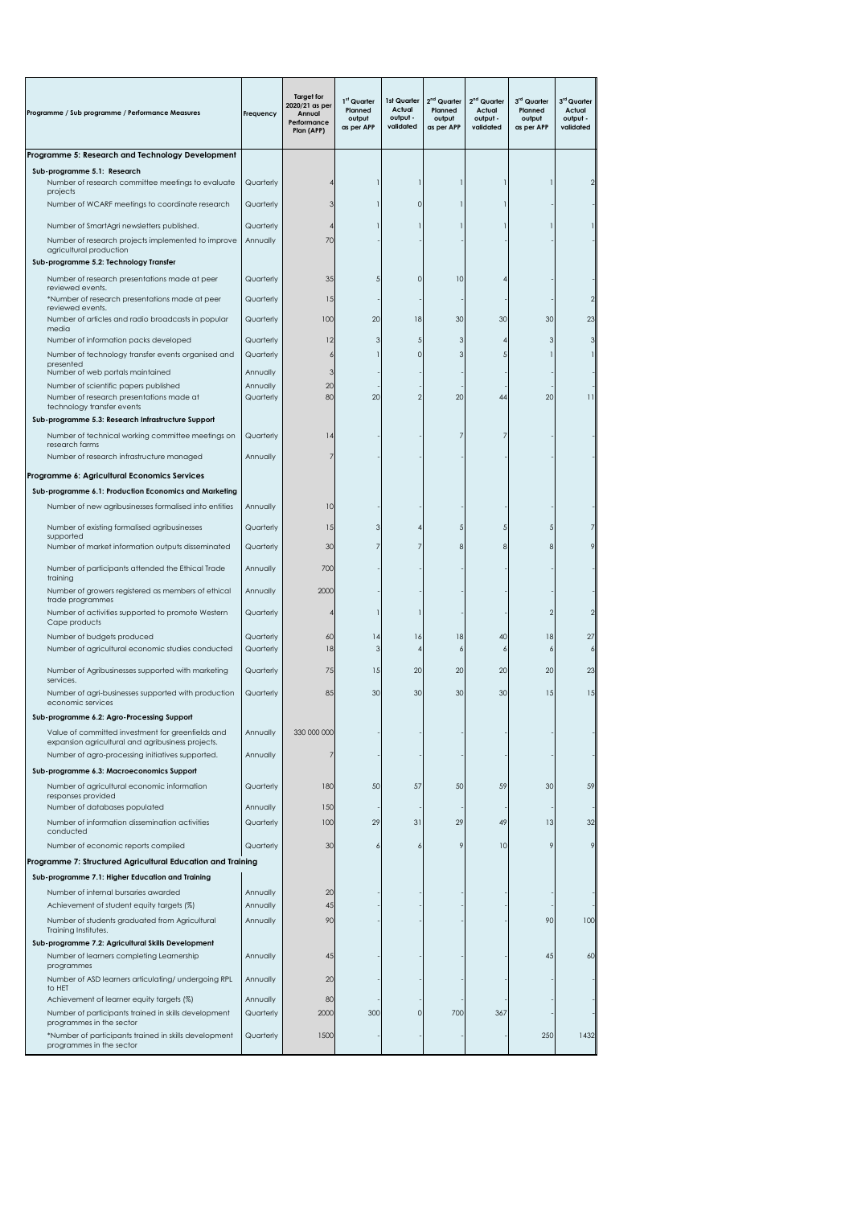| Programme / Sub programme / Performance Measures                                                                        | Frequency | <b>Target for</b><br>2020/21 as per<br>Annual<br>Performance<br>Plan (APP) | 1 <sup>st</sup> Quarter<br>Planned<br>output<br>as per APP | 1st Quarter<br>Actual<br>output -<br>validated | 2 <sup>nd</sup> Quarter<br>Planned<br>output<br>as per APP | 2 <sup>nd</sup> Quarter<br>Actual<br>output -<br>validated | 3 <sup>rd</sup> Quarter<br>Planned<br>output<br>as per APP | 3rd Quarter<br>Actual<br>output -<br>validated |
|-------------------------------------------------------------------------------------------------------------------------|-----------|----------------------------------------------------------------------------|------------------------------------------------------------|------------------------------------------------|------------------------------------------------------------|------------------------------------------------------------|------------------------------------------------------------|------------------------------------------------|
| Programme 5: Research and Technology Development                                                                        |           |                                                                            |                                                            |                                                |                                                            |                                                            |                                                            |                                                |
| Sub-programme 5.1: Research<br>Number of research committee meetings to evaluate                                        | Quarterly |                                                                            |                                                            |                                                |                                                            |                                                            |                                                            |                                                |
| projects<br>Number of WCARF meetings to coordinate research                                                             | Quarterly | 3                                                                          |                                                            | O                                              |                                                            |                                                            |                                                            |                                                |
| Number of SmartAgri newsletters published.                                                                              | Quarterly | 4                                                                          |                                                            |                                                |                                                            |                                                            |                                                            |                                                |
| Number of research projects implemented to improve<br>agricultural production<br>Sub-programme 5.2: Technology Transfer | Annually  | 70                                                                         |                                                            |                                                |                                                            |                                                            |                                                            |                                                |
| Number of research presentations made at peer                                                                           | Quarterly | 35                                                                         |                                                            | 0                                              | 10                                                         |                                                            |                                                            |                                                |
| reviewed events.<br>*Number of research presentations made at peer                                                      | Quarterly | 15                                                                         |                                                            |                                                |                                                            |                                                            |                                                            |                                                |
| reviewed events.<br>Number of articles and radio broadcasts in popular                                                  | Quarterly | 100                                                                        | 20                                                         | 18                                             | 30                                                         | 30                                                         | 30                                                         | 23                                             |
| media<br>Number of information packs developed                                                                          | Quarterly | 12                                                                         | 3                                                          | 5                                              | 3                                                          |                                                            |                                                            |                                                |
| Number of technology transfer events organised and                                                                      | Quarterly | 6                                                                          |                                                            | O                                              | 3                                                          |                                                            |                                                            |                                                |
| presented<br>Number of web portals maintained                                                                           | Annually  | 3                                                                          |                                                            |                                                |                                                            |                                                            |                                                            |                                                |
| Number of scientific papers published                                                                                   | Annually  | 20                                                                         |                                                            |                                                |                                                            |                                                            |                                                            |                                                |
| Number of research presentations made at                                                                                | Quarterly | 80                                                                         | 20                                                         | 2                                              | 20                                                         | 44                                                         | 20                                                         | 11                                             |
| technology transfer events                                                                                              |           |                                                                            |                                                            |                                                |                                                            |                                                            |                                                            |                                                |
| Sub-programme 5.3: Research Infrastructure Support                                                                      |           |                                                                            |                                                            |                                                |                                                            |                                                            |                                                            |                                                |
| Number of technical working committee meetings on<br>research farms                                                     | Quarterly | 4                                                                          |                                                            |                                                |                                                            |                                                            |                                                            |                                                |
| Number of research infrastructure managed                                                                               | Annually  | $\overline{7}$                                                             |                                                            |                                                |                                                            |                                                            |                                                            |                                                |
| Programme 6: Agricultural Economics Services                                                                            |           |                                                                            |                                                            |                                                |                                                            |                                                            |                                                            |                                                |
| Sub-programme 6.1: Production Economics and Marketing                                                                   |           |                                                                            |                                                            |                                                |                                                            |                                                            |                                                            |                                                |
| Number of new agribusinesses formalised into entities                                                                   | Annually  | 10                                                                         |                                                            |                                                |                                                            |                                                            |                                                            |                                                |
| Number of existing formalised agribusinesses                                                                            | Quarterly | 15                                                                         | з                                                          |                                                |                                                            |                                                            |                                                            |                                                |
| supported<br>Number of market information outputs disseminated                                                          | Quarterly | 30                                                                         |                                                            |                                                |                                                            |                                                            |                                                            |                                                |
|                                                                                                                         |           |                                                                            |                                                            |                                                |                                                            |                                                            |                                                            |                                                |
| Number of participants attended the Ethical Trade<br>training                                                           | Annually  | 700                                                                        |                                                            |                                                |                                                            |                                                            |                                                            |                                                |
| Number of growers registered as members of ethical<br>trade programmes                                                  | Annually  | 2000                                                                       |                                                            |                                                |                                                            |                                                            |                                                            |                                                |
| Number of activities supported to promote Western<br>Cape products                                                      | Quarterly | 4                                                                          |                                                            |                                                |                                                            |                                                            |                                                            | 2                                              |
| Number of budgets produced                                                                                              | Quarterly | 60                                                                         | 14                                                         | 16                                             | 18                                                         | 40                                                         | 18                                                         | 27                                             |
| Number of agricultural economic studies conducted                                                                       | Quarterly | 18                                                                         | 3                                                          |                                                | 6                                                          |                                                            |                                                            | 6                                              |
| Number of Agribusinesses supported with marketing<br>services.                                                          | Quarterly | 75                                                                         | 15                                                         | 20                                             | 20                                                         | 20                                                         | 20                                                         | 23                                             |
| Number of agri-businesses supported with production<br>economic services                                                | Quarterly | 85                                                                         | 30                                                         | 30                                             | 30                                                         | 30                                                         | 15                                                         | 15                                             |
| Sub-programme 6.2: Agro-Processing Support                                                                              |           |                                                                            |                                                            |                                                |                                                            |                                                            |                                                            |                                                |
| Value of committed investment for greenfields and<br>expansion agricultural and agribusiness projects.                  | Annually  | 330 000 000                                                                |                                                            |                                                |                                                            |                                                            |                                                            |                                                |
| Number of agro-processing initiatives supported.                                                                        | Annually  | 7                                                                          |                                                            |                                                |                                                            |                                                            |                                                            |                                                |
| Sub-programme 6.3: Macroeconomics Support<br>Number of agricultural economic information                                | Quarterly | 180                                                                        | 50                                                         | 57                                             | 50                                                         | 59                                                         | 30                                                         | 59                                             |
| responses provided<br>Number of databases populated                                                                     | Annually  | 150                                                                        |                                                            |                                                |                                                            |                                                            |                                                            |                                                |
| Number of information dissemination activities<br>conducted                                                             | Quarterly | 100                                                                        | 29                                                         | 31                                             | 29                                                         | 49                                                         | 13                                                         | 32                                             |
| Number of economic reports compiled                                                                                     | Quarterly | 30                                                                         |                                                            |                                                | 9                                                          | 10                                                         | 9                                                          | 9                                              |
| Programme 7: Structured Agricultural Education and Training                                                             |           |                                                                            |                                                            |                                                |                                                            |                                                            |                                                            |                                                |
| Sub-programme 7.1: Higher Education and Training                                                                        |           |                                                                            |                                                            |                                                |                                                            |                                                            |                                                            |                                                |
| Number of internal bursaries awarded                                                                                    | Annually  | 20                                                                         |                                                            |                                                |                                                            |                                                            |                                                            |                                                |
| Achievement of student equity targets (%)                                                                               | Annually  | 45                                                                         |                                                            |                                                |                                                            |                                                            |                                                            |                                                |
| Number of students graduated from Agricultural                                                                          | Annually  | 90                                                                         |                                                            |                                                |                                                            |                                                            | 90                                                         | 100                                            |
| Training Institutes.<br>Sub-programme 7.2: Agricultural Skills Development                                              |           |                                                                            |                                                            |                                                |                                                            |                                                            |                                                            |                                                |
| Number of learners completing Learnership<br>programmes                                                                 | Annually  | 45                                                                         |                                                            |                                                |                                                            |                                                            | 45                                                         | 60                                             |
| Number of ASD learners articulating/ undergoing RPL<br>to HET                                                           | Annually  | 20                                                                         |                                                            |                                                |                                                            |                                                            |                                                            |                                                |
| Achievement of learner equity targets (%)                                                                               | Annually  | 80                                                                         |                                                            |                                                |                                                            |                                                            |                                                            |                                                |
| Number of participants trained in skills development<br>programmes in the sector                                        | Quarterly | 2000                                                                       | 300                                                        | 0                                              | 700                                                        | 367                                                        |                                                            |                                                |
| *Number of participants trained in skills development<br>programmes in the sector                                       | Quarterly | 1500                                                                       |                                                            |                                                |                                                            |                                                            | 250                                                        | 1432                                           |